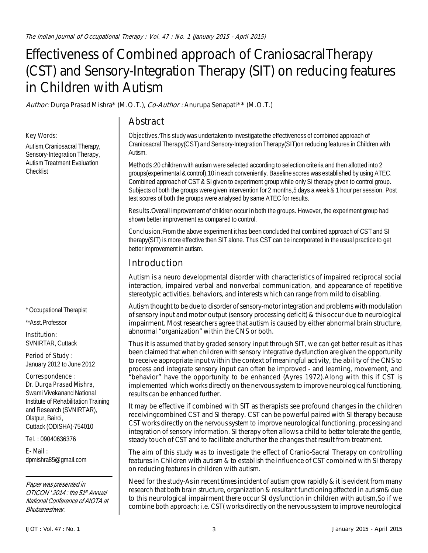# Effectiveness of Combined approach of CraniosacralTherapy (CST) and Sensory-Integration Therapy (SIT) on reducing features in Children with Autism

**Author:** Durga Prasad Mishra\* (M.O.T.), **Co-Author :** Anurupa Senapati\*\* (M.O.T.)

# **Abstract**

#### **Objectives:**This study was undertaken to investigate the effectiveness of combined approach of Craniosacral Therapy(CST) and Sensory-Integration Therapy(SIT)on reducing features in Children with Autism.

**Methods:**20 children with autism were selected according to selection criteria and then allotted into 2 groups(experimental & control),10 in each conveniently. Baseline scores was established by using ATEC. Combined approach of CST & SI given to experiment group while only SI therapy given to control group. Subjects of both the groups were given intervention for 2 months,5 days a week & 1 hour per session. Post test scores of both the groups were analysed by same ATEC for results.

**Results:**Overall improvement of children occur in both the groups. However, the experiment group had shown better improvement as compared to control.

**Conclusion:**From the above experiment it has been concluded that combined approach of CST and SI therapy(SIT) is more effective then SIT alone. Thus CST can be incorporated in the usual practice to get better improvement in autism.

# **Introduction**

Autism is a neuro developmental disorder with characteristics of impaired reciprocal social interaction, impaired verbal and nonverbal communication, and appearance of repetitive stereotypic activities, behaviors, and interests which can range from mild to disabling.

Autism thought to be due to disorder of sensory-motor integration and problems with modulation of sensory input and motor output (sensory processing deficit) & this occur due to neurological impairment. Most researchers agree that autism is caused by either abnormal brain structure, abnormal "organization" within the CNS or both.

Thus it is assumed that by graded sensory input through SIT, we can get better result as it has been claimed that when children with sensory integrative dysfunction are given the opportunity to receive appropriate input within the context of meaningful activity, the ability of the CNS to process and integrate sensory input can often be improved - and learning, movement, and "behavior" have the opportunity to be enhanced (Ayres 1972).Along with this if CST is implemented which works directly on the nervous system to improve neurological functioning, results can be enhanced further.

It may be effective if combined with SIT as therapists see profound changes in the children receivingcombined CST and SI therapy. CST can be powerful paired with SI therapy because CST works directly on the nervous system to improve neurological functioning, processing and integration of sensory information. SI therapy often allows a child to better tolerate the gentle, steady touch of CST and to facilitate andfurther the changes that result from treatment.

The aim of this study was to investigate the effect of Cranio-Sacral Therapy on controlling features in Children with autism & to establish the influence of CST combined with SI therapy on reducing features in children with autism.

**Need for the study**-As in recent times incident of autism grow rapidly & it is evident from many research that both brain structure, organization & resultant functioning affected in autism& due to this neurological impairment there occur SI dysfunction in children with autism,So if we combine both approach; i.e. CST( works directly on the nervous system to improve neurological

### **\*** Occupational Therapist

\*\*Asst.Professor

**Key Words**:

**Checklist** 

Autism,Craniosacral Therapy, Sensory-Integration Therapy, Autism Treatment Evaluation

**Institution:** SVNIRTAR, Cuttack

**Period of Study :** January 2012 to June 2012

#### **Correspondence :**

**Dr. Durga Prasad Mishra**, Swami Vivekanand National Institute of Rehabilitation Training and Research (SVNIRTAR), Olatpur, Bairoi, Cuttack (ODISHA)-754010

**Tel. :** 09040636376

**E- Mail :** dpmishra85@gmail.com

Paper was presented in OTICON '2014 : the 51<sup>st</sup> Annual National Conference of AIOTA at Bhubaneshwar.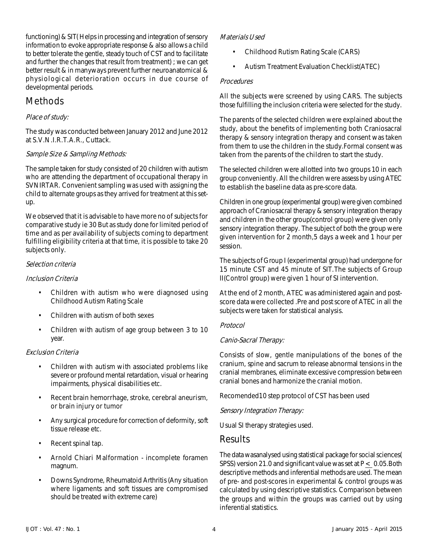functioning) & SIT( Helps in processing and integration of sensory information to evoke appropriate response & also allows a child to better tolerate the gentle, steady touch of CST and to facilitate and further the changes that result from treatment) ; we can get better result & in manyways prevent further neuroanatomical & physiological deterioration occurs in due course of developmental periods.

# **Methods**

### **Place of study:**

The study was conducted between January 2012 and June 2012 at S.V.N.I.R.T.A.R., Cuttack.

### **Sample Size & Sampling Methods:**

The sample taken for study consisted of 20 children with autism who are attending the department of occupational therapy in SVNIRTAR. Convenient sampling was used with assigning the child to alternate groups as they arrived for treatment at this setup.

We observed that **it is advisable to have more no of subjects for comparative study ie 30** But as study done for limited period of time and as per availability of subjects coming to department fulfilling eligibility criteria at that time, it is possible to take 20 subjects only.

### **Selection criteria**

### **Inclusion Criteria**

- Children with autism who were diagnosed using Childhood Autism Rating Scale
- Children with autism of both sexes
- Children with autism of age group between 3 to 10 year.

### **Exclusion Criteria**

- Children with autism with associated problems like severe or profound mental retardation, visual or hearing impairments, physical disabilities etc**.**
- **Recent brain hemorrhage, stroke, cerebral aneurism, or brain injury or tumor**
- Any surgical procedure for correction of deformity, soft tissue release etc.
- **Recent spinal tap.**
- **Arnold Chiari Malformation** incomplete foramen magnum.
- Downs Syndrome, Rheumatoid Arthritis (Any situation where ligaments and soft tissues are compromised should be treated with extreme care)

### **Materials Used**

- Childhood Rutism Rating Scale (CARS)
- Autism Treatment Evaluation Checklist(ATEC)

### **Procedures**

All the subjects were screened by using CARS. The subjects those fulfilling the inclusion criteria were selected for the study.

The parents of the selected children were explained about the study, about the benefits of implementing both Craniosacral therapy & sensory integration therapy and consent was taken from them to use the children in the study.Formal consent was taken from the parents of the children to start the study.

The selected children were allotted into two groups 10 in each group conveniently. All the children were assess by using ATEC to establish the baseline data as pre-score data.

Children in one group (experimental group) were given combined approach of Craniosacral therapy & sensory integration therapy and children in the other group(control group) were given only sensory integration therapy. The subject of both the group were given intervention for 2 month,5 days a week and 1 hour per session.

The subjects of Group I (experimental group) had undergone for 15 minute CST and 45 minute of SIT.The subjects of Group II(Control group) were given 1 hour of SI intervention.

At the end of 2 month, ATEC was administered again and postscore data were collected .Pre and post score of ATEC in all the subjects were taken for statistical analysis.

### **Protocol**

### **Canio-Sacral Therapy:**

Consists of slow, gentle manipulations of the bones of the cranium, spine and sacrum to release abnormal tensions in the cranial membranes, eliminate excessive compression between cranial bones and harmonize the cranial motion.

Recomended10 step protocol of CST has been used

### **Sensory Integration Therapy:**

Usual SI therapy strategies used.

### **Results**

The data wasanalysed using statistical package for social sciences( SPSS) version 21.0 and significant value was set at P < 0.05.Both descriptive methods and inferential methods are used. The mean of pre- and post-scores in experimental & control groups was calculated by using descriptive statistics. Comparison between the groups and within the groups was carried out by using inferential statistics.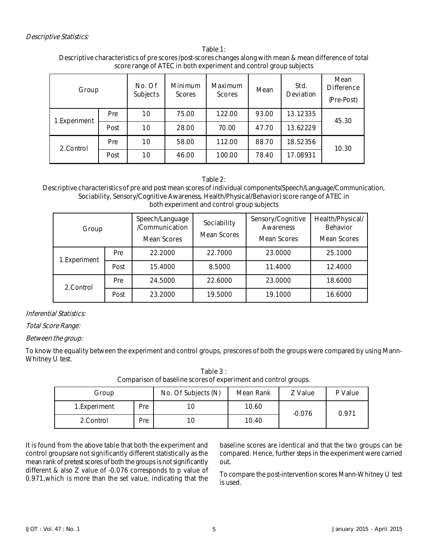#### **Table 1: Descriptive characteristics of pre scores /post-scores changes along with mean & mean difference of total score range of ATEC in both experiment and control group subjects**

| Group        |      | No. Of<br><b>Subjects</b> | <b>Minimum</b><br><b>Scores</b> | <b>Maximum</b><br><b>Scores</b> | Mean  | Std.<br><b>Deviation</b> | Mean<br><b>Difference</b><br>(Pre-Post) |  |
|--------------|------|---------------------------|---------------------------------|---------------------------------|-------|--------------------------|-----------------------------------------|--|
| 1.Experiment | Pre  | 10                        | 75.00                           | 122.00                          | 93.00 | 13.12335                 | 45.30                                   |  |
|              | Post | 10                        | 28.00                           | 70.00                           | 47.70 | 13.62229                 |                                         |  |
| 2.Control    | Pre  | 10                        | 58.00                           | 112.00                          | 88.70 | 18.52356                 | 10.30                                   |  |
|              | Post | 10                        | 46.00                           | 100.00                          | 78.40 | 17.08931                 |                                         |  |

#### **Table 2:**

#### **Descriptive characteristics of pre and post mean scores of individual components(Speech/Language/Communication, Sociability, Sensory/Cognitive Awareness, Health/Physical/Behavior) score range of ATEC in both experiment and control group subjects**

| Group         |            | Speech/Language<br>Sociability<br>/Communication<br><b>Mean Scores</b><br><b>Mean Scores</b> |         | Sensory/Cognitive<br><b>Awareness</b><br><b>Mean Scores</b> | Health/Physical/<br><b>Behavior</b><br><b>Mean Scores</b> |  |
|---------------|------------|----------------------------------------------------------------------------------------------|---------|-------------------------------------------------------------|-----------------------------------------------------------|--|
| 1. Experiment | <b>Pre</b> | 22.2000                                                                                      | 22.7000 | 23.0000                                                     | 25.1000                                                   |  |
|               | Post       | 15.4000                                                                                      | 8.5000  | 11.4000                                                     | 12.4000                                                   |  |
| 2.Control     | Pre        | 24.5000                                                                                      | 22.6000 | 23.0000                                                     | 18.6000                                                   |  |
|               | Post       | 23.2000                                                                                      | 19.5000 | 19.1000                                                     | 16.6000                                                   |  |

### **Inferential Statistics:**

### **Total Score Range:**

### **Between the group:**

To know the equality between the experiment and control groups, prescores of both the groups were compared by using Mann-Whitney U test.

**Table 3 : Comparison of baseline scores of experiment and control groups.**

| Group         |     | No. Of Subjects (N) | <b>Mean Rank</b> | Z Value  | P Value |
|---------------|-----|---------------------|------------------|----------|---------|
| 1. Experiment | Pre | 1C                  | 10.60            | $-0.076$ | 0.971   |
| 2. Control    | Pre | 10                  | 10.40            |          |         |

It is found from the above table that both the experiment and control groupsare not significantly different statistically as the mean rank of pretest scores of both the groups is not significantly different & also Z value of -0.076 corresponds to p value of 0.971,which is more than the set value, indicating that the

baseline scores are identical and that the two groups can be compared. Hence, further steps in the experiment were carried out.

To compare the post-intervention scores Mann-Whitney U test is used.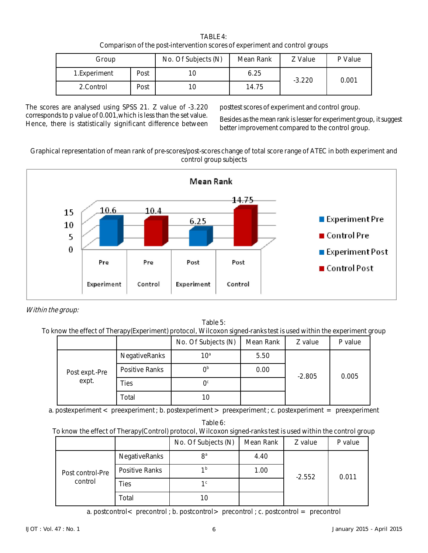| <b>TABLE 4:</b>                                                             |
|-----------------------------------------------------------------------------|
| Comparison of the post-intervention scores of experiment and control groups |

| Group        |      | No. Of Subjects (N) | Mean Rank | Z Value  | P Value |
|--------------|------|---------------------|-----------|----------|---------|
| 1.Experiment | Post | 10                  | 6.25      | $-3.220$ | 0.001   |
| 2. Control   | Post | 10                  | 14.75     |          |         |

The scores are analysed using SPSS 21. Z value of -3.220 corresponds to p value of 0.001,which is less than the set value. Hence, there is statistically significant difference between posttest scores of experiment and control group.

Besides as the mean rank is lesser for experiment group, it suggest better improvement compared to the control group.

#### **Graphical representation of mean rank of pre-scores/post-scores change of total score range of ATEC in both experiment and control group subjects**



**Within the group:**

**Table 5: To know the effect of Therapy(Experiment) protocol, Wilcoxon signed-ranks test is used within the experiment group**

|                         |                      | No. Of Subjects (N) | <b>Mean Rank</b> | Z value  | P value |
|-------------------------|----------------------|---------------------|------------------|----------|---------|
| Post expt.-Pre<br>expt. | <b>NegativeRanks</b> | $10^{\circ}$        | 5.50             |          | 0.005   |
|                         | Positive Ranks       | በ <sub>p</sub>      | 0.00             | $-2.805$ |         |
|                         | Ties                 | $\Omega_{c}$        |                  |          |         |
|                         | Total                | 10                  |                  |          |         |

a. postexperiment  $\lt$  preexperiment ; b. postexperiment  $\gt$  preexperiment ; c. postexperiment = preexperiment

**Table 6:**

### **To know the effect of Therapy(Control) protocol, Wilcoxon signed-ranks test is used within the control group**

|                             |                       | No. Of Subjects (N) | <b>Mean Rank</b> | Z value  | P value |
|-----------------------------|-----------------------|---------------------|------------------|----------|---------|
| Post control-Pre<br>control | <b>NegativeRanks</b>  | 8 <sup>a</sup>      | 4.40             |          | 0.011   |
|                             | <b>Positive Ranks</b> | 1 <sup>b</sup>      | 1.00             | $-2.552$ |         |
|                             | Ties                  | 1 <sup>c</sup>      |                  |          |         |
|                             | Total                 | 10                  |                  |          |         |

a. postcontrol  $\lt$  precontrol ; b. postcontrol  $\gt$  precontrol ; c. postcontrol  $\lt$  precontrol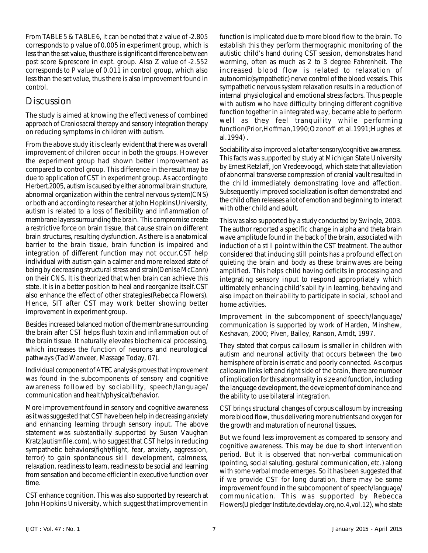From TABLE 5 & TABLE 6, it can be noted that z value of -2.805 corresponds to p value of 0.005 in experiment group, which is less than the set value, thus there is significant difference between post score &prescore in expt. group. Also Z value of -2.552 corresponds to P value of 0.011 in control group, which also less than the set value, thus there is also improvement found in control.

# **Discussion**

The study is aimed at knowing the effectiveness of combined approach of Craniosacral therapy and sensory integration therapy on reducing symptoms in children with autism.

From the above study it is clearly evident that there was overall improvement of children occur in both the groups. However the experiment group had shown better improvement as compared to control group. This difference in the result may be due to application of CST in experiment group. As according to Herbert,2005, autism is caused by either abnormal brain structure, abnormal organization within the central nervous system(CNS) or both and according to researcher at John Hopkins University, autism is related to a loss of flexibility and inflammation of membrane layers surrounding the brain. This compromise create a restrictive force on brain tissue, that cause strain on different brain structures, resulting dysfunction. As there is a anatomical barrier to the brain tissue, brain function is impaired and integration of different function may not occur.CST help individual with autism gain a calmer and more relaxed state of being by decreasing structural stress and strain(Denise McCann) on their CNS. It is theorized that when brain can achieve this state. It is in a better position to heal and reorganize itself.CST also enhance the effect of other strategies(Rebecca Flowers). Hence, SIT after CST may work better showing better improvement in experiment group.

Besides increased balanced motion of the membrane surrounding the brain after CST helps flush toxin and inflammation out of the brain tissue. It naturally elevates biochemical processing, which increases the function of neurons and neurological pathways (Tad Wanveer, Massage Today, 07).

Individual component of ATEC analysis proves that improvement was found in the subcomponents of sensory and cognitive awareness followed by sociability, speech/language/ communication and health/physical/behavior.

More improvement found in sensory and cognitive awareness as it was suggested that CST have been help in decreasing anxiety and enhancing learning through sensory input. The above statement was substantially supported by Susan Vaughan Kratz(autismfile.com), who suggest that CST helps in reducing sympathetic behaviors(fight/flight, fear, anxiety, aggression, terror) to gain spontaneous skill development, calmness, relaxation, readiness to learn, readiness to be social and learning from sensation and become efficient in executive function over time.

CST enhance cognition. This was also supported by research at John Hopkins University, which suggest that improvement in function is implicated due to more blood flow to the brain. To establish this they perform thermographic monitoring of the autistic child's hand during CST session, demonstrates hand warming, often as much as 2 to 3 degree Fahrenheit. The increased blood flow is related to relaxation of autonomic(sympathetic) nerve control of the blood vessels. This sympathetic nervous system relaxation results in a reduction of internal physiological and emotional stress factors. Thus people with autism who have difficulty bringing different cognitive function together in a integrated way, became able to perform well as they feel tranquility while performing function(Prior,Hoffman,1990;Ozonoff et al.1991;Hughes et al.1994) .

Sociability also improved a lot after sensory/cognitive awareness. This facts was supported by study at Michigan State University by Ernest Retzlaff, Jon Vredeevoogd, which state that alleviation of abnormal transverse compression of cranial vault resulted in the child immediately demonstrating love and affection. Subsequently improved socialization is often demonstrated and the child often releases a lot of emotion and beginning to interact with other child and adult.

This was also supported by a study conducted by Swingle, 2003. The author reported a specific change in alpha and theta brain wave amplitude found in the back of the brain, associated with induction of a still point within the CST treatment. The author considered that inducing still points has a profound effect on quieting the brain and body as these brainwaves are being amplified. This helps child having deficits in processing and integrating sensory input to respond appropriately which ultimately enhancing child's ability in learning, behaving and also impact on their ability to participate in social, school and home activities.

Improvement in the subcomponent of speech/language/ communication is supported by work of Harden, Minshew, Keshavan, 2000; Piven, Bailey, Ranson, Arndt, 1997.

They stated that corpus callosum is smaller in children with autism and neuronal activity that occurs between the two hemisphere of brain is erratic and poorly connected. As corpus callosum links left and right side of the brain, there are number of implication for this abnormality in size and function, including the language development, the development of dominance and the ability to use bilateral integration.

CST brings structural changes of corpus callosum by increasing more blood flow, thus delivering more nutrients and oxygen for the growth and maturation of neuronal tissues.

But we found less improvement as compared to sensory and cognitive awareness. This may be due to short intervention period. But it is observed that non-verbal communication (pointing, social saluting, gestural communication, etc.) along with some verbal mode emerges. So it has been suggested that if we provide CST for long duration, there may be some improvement found in the subcomponent of speech/language/ communication. This was supported by Rebecca Flowers(Upledger Institute,devdelay.org,no.4,vol.12), who state